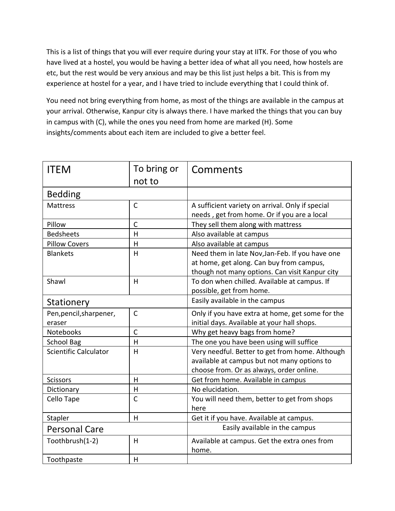This is a list of things that you will ever require during your stay at IITK. For those of you who have lived at a hostel, you would be having a better idea of what all you need, how hostels are etc, but the rest would be very anxious and may be this list just helps a bit. This is from my experience at hostel for a year, and I have tried to include everything that I could think of.

You need not bring everything from home, as most of the things are available in the campus at your arrival. Otherwise, Kanpur city is always there. I have marked the things that you can buy in campus with (C), while the ones you need from home are marked (H). Some insights/comments about each item are included to give a better feel.

| <b>ITEM</b>                       | To bring or  | Comments                                                                                                                                      |
|-----------------------------------|--------------|-----------------------------------------------------------------------------------------------------------------------------------------------|
|                                   | not to       |                                                                                                                                               |
| <b>Bedding</b>                    |              |                                                                                                                                               |
| <b>Mattress</b>                   | $\mathsf{C}$ | A sufficient variety on arrival. Only if special<br>needs, get from home. Or if you are a local                                               |
| Pillow                            | $\mathsf{C}$ | They sell them along with mattress                                                                                                            |
| <b>Bedsheets</b>                  | H            | Also available at campus                                                                                                                      |
| <b>Pillow Covers</b>              | н            | Also available at campus                                                                                                                      |
| <b>Blankets</b>                   | H            | Need them in late Nov, Jan-Feb. If you have one<br>at home, get along. Can buy from campus,<br>though not many options. Can visit Kanpur city |
| Shawl                             | H            | To don when chilled. Available at campus. If<br>possible, get from home.                                                                      |
| Stationery                        |              | Easily available in the campus                                                                                                                |
| Pen, pencil, sharpener,<br>eraser | $\mathsf{C}$ | Only if you have extra at home, get some for the<br>initial days. Available at your hall shops.                                               |
| Notebooks                         | $\mathsf{C}$ | Why get heavy bags from home?                                                                                                                 |
| <b>School Bag</b>                 | H            | The one you have been using will suffice                                                                                                      |
| <b>Scientific Calculator</b>      | H            | Very needful. Better to get from home. Although<br>available at campus but not many options to<br>choose from. Or as always, order online.    |
| <b>Scissors</b>                   | $\mathsf{H}$ | Get from home. Available in campus                                                                                                            |
| Dictionary                        | Н            | No elucidation.                                                                                                                               |
| Cello Tape                        | $\mathsf{C}$ | You will need them, better to get from shops<br>here                                                                                          |
| Stapler                           | H            | Get it if you have. Available at campus.                                                                                                      |
| <b>Personal Care</b>              |              | Easily available in the campus                                                                                                                |
| Toothbrush(1-2)                   | H            | Available at campus. Get the extra ones from<br>home.                                                                                         |
| Toothpaste                        | H            |                                                                                                                                               |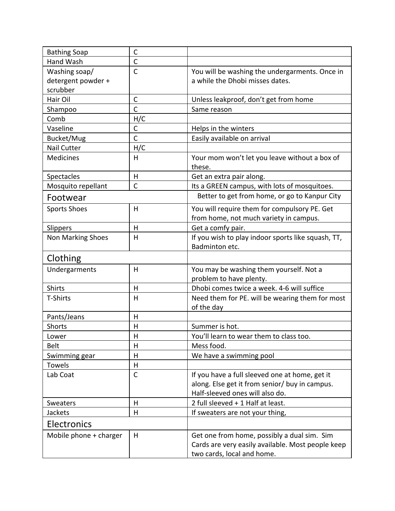| <b>Bathing Soap</b>    | $\mathsf C$  |                                                                                                                                |
|------------------------|--------------|--------------------------------------------------------------------------------------------------------------------------------|
| Hand Wash              | $\mathsf{C}$ |                                                                                                                                |
| Washing soap/          | $\mathsf{C}$ | You will be washing the undergarments. Once in                                                                                 |
| detergent powder +     |              | a while the Dhobi misses dates.                                                                                                |
| scrubber               |              |                                                                                                                                |
| Hair Oil               | $\mathsf C$  | Unless leakproof, don't get from home                                                                                          |
| Shampoo                | $\mathsf C$  | Same reason                                                                                                                    |
| Comb                   | H/C          |                                                                                                                                |
| Vaseline               | C            | Helps in the winters                                                                                                           |
| Bucket/Mug             | $\mathsf{C}$ | Easily available on arrival                                                                                                    |
| <b>Nail Cutter</b>     | H/C          |                                                                                                                                |
| Medicines              | н            | Your mom won't let you leave without a box of<br>these.                                                                        |
| Spectacles             | Н            | Get an extra pair along.                                                                                                       |
| Mosquito repellant     | $\mathsf{C}$ | Its a GREEN campus, with lots of mosquitoes.                                                                                   |
| Footwear               |              | Better to get from home, or go to Kanpur City                                                                                  |
| <b>Sports Shoes</b>    | Н            | You will require them for compulsory PE. Get                                                                                   |
|                        |              | from home, not much variety in campus.                                                                                         |
| Slippers               | H            | Get a comfy pair.                                                                                                              |
| Non Marking Shoes      | Н            | If you wish to play indoor sports like squash, TT,<br>Badminton etc.                                                           |
| Clothing               |              |                                                                                                                                |
| Undergarments          | H            | You may be washing them yourself. Not a                                                                                        |
|                        |              | problem to have plenty.                                                                                                        |
| Shirts                 | H            | Dhobi comes twice a week. 4-6 will suffice                                                                                     |
| T-Shirts               | H            | Need them for PE. will be wearing them for most<br>of the day                                                                  |
| Pants/Jeans            | Н            |                                                                                                                                |
| <b>Shorts</b>          | Н            | Summer is hot.                                                                                                                 |
| Lower                  | H            | You'll learn to wear them to class too.                                                                                        |
| <b>Belt</b>            | Н            | Mess food.                                                                                                                     |
| Swimming gear          | н            | We have a swimming pool                                                                                                        |
| Towels                 | Н            |                                                                                                                                |
| Lab Coat               | C            | If you have a full sleeved one at home, get it                                                                                 |
|                        |              | along. Else get it from senior/ buy in campus.                                                                                 |
|                        |              | Half-sleeved ones will also do.                                                                                                |
| Sweaters               | H            | 2 full sleeved + 1 Half at least.                                                                                              |
| Jackets                | H            | If sweaters are not your thing,                                                                                                |
| Electronics            |              |                                                                                                                                |
| Mobile phone + charger | H            | Get one from home, possibly a dual sim. Sim<br>Cards are very easily available. Most people keep<br>two cards, local and home. |